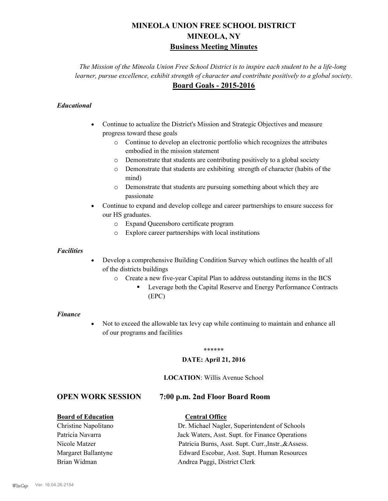# **MINEOLA UNION FREE SCHOOL DISTRICT MINEOLA, NY Business Meeting Minutes**

*The Mission of the Mineola Union Free School District is to inspire each student to be a life-long learner, pursue excellence, exhibit strength of character and contribute positively to a global society.* **Board Goals - 2015-2016**

# *Educational*

- · Continue to actualize the District's Mission and Strategic Objectives and measure progress toward these goals
	- o Continue to develop an electronic portfolio which recognizes the attributes embodied in the mission statement
	- o Demonstrate that students are contributing positively to a global society
	- o Demonstrate that students are exhibiting strength of character (habits of the mind)
	- o Demonstrate that students are pursuing something about which they are passionate
- Continue to expand and develop college and career partnerships to ensure success for our HS graduates.
	- o Expand Queensboro certificate program
	- o Explore career partnerships with local institutions

### *Facilities*

- Develop a comprehensive Building Condition Survey which outlines the health of all of the districts buildings
	- o Create a new five-year Capital Plan to address outstanding items in the BCS
		- § Leverage both the Capital Reserve and Energy Performance Contracts (EPC)

### *Finance*

• Not to exceed the allowable tax levy cap while continuing to maintain and enhance all of our programs and facilities

### \*\*\*\*\*\*

### **DATE: April 21, 2016**

### **LOCATION**: Willis Avenue School

# **OPEN WORK SESSION 7:00 p.m. 2nd Floor Board Room**

# **Board of Education Central Office**

Christine Napolitano Dr. Michael Nagler, Superintendent of Schools Patricia Navarra Jack Waters, Asst. Supt. for Finance Operations Nicole Matzer Patricia Burns, Asst. Supt. Curr.,Instr.,&Assess. Margaret Ballantyne Edward Escobar, Asst. Supt. Human Resources Brian Widman **Andrea Paggi, District Clerk**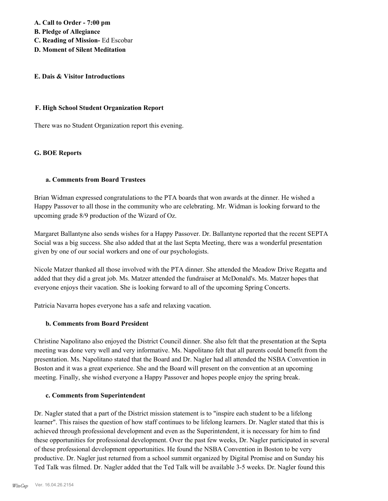**A. Call to Order - 7:00 pm B. Pledge of Allegiance C. Reading of Mission-** Ed Escobar

**D. Moment of Silent Meditation**

### **E. Dais & Visitor Introductions**

### **F. High School Student Organization Report**

There was no Student Organization report this evening.

### **G. BOE Reports**

### **a. Comments from Board Trustees**

Brian Widman expressed congratulations to the PTA boards that won awards at the dinner. He wished a Happy Passover to all those in the community who are celebrating. Mr. Widman is looking forward to the upcoming grade 8/9 production of the Wizard of Oz.

Margaret Ballantyne also sends wishes for a Happy Passover. Dr. Ballantyne reported that the recent SEPTA Social was a big success. She also added that at the last Septa Meeting, there was a wonderful presentation given by one of our social workers and one of our psychologists.

Nicole Matzer thanked all those involved with the PTA dinner. She attended the Meadow Drive Regatta and added that they did a great job. Ms. Matzer attended the fundraiser at McDonald's. Ms. Matzer hopes that everyone enjoys their vacation. She is looking forward to all of the upcoming Spring Concerts.

Patricia Navarra hopes everyone has a safe and relaxing vacation.

# **b. Comments from Board President**

Christine Napolitano also enjoyed the District Council dinner. She also felt that the presentation at the Septa meeting was done very well and very informative. Ms. Napolitano felt that all parents could benefit from the presentation. Ms. Napolitano stated that the Board and Dr. Nagler had all attended the NSBA Convention in Boston and it was a great experience. She and the Board will present on the convention at an upcoming meeting. Finally, she wished everyone a Happy Passover and hopes people enjoy the spring break.

# **c. Comments from Superintendent**

Dr. Nagler stated that a part of the District mission statement is to "inspire each student to be a lifelong learner". This raises the question of how staff continues to be lifelong learners. Dr. Nagler stated that this is achieved through professional development and even as the Superintendent, it is necessary for him to find these opportunities for professional development. Over the past few weeks, Dr. Nagler participated in several of these professional development opportunities. He found the NSBA Convention in Boston to be very productive. Dr. Nagler just returned from a school summit organized by Digital Promise and on Sunday his Ted Talk was filmed. Dr. Nagler added that the Ted Talk will be available 3-5 weeks. Dr. Nagler found this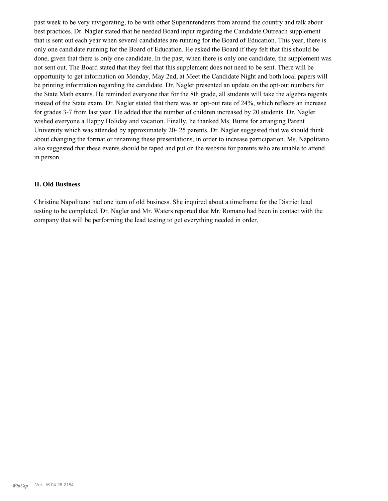past week to be very invigorating, to be with other Superintendents from around the country and talk about best practices. Dr. Nagler stated that he needed Board input regarding the Candidate Outreach supplement that is sent out each year when several candidates are running for the Board of Education. This year, there is only one candidate running for the Board of Education. He asked the Board if they felt that this should be done, given that there is only one candidate. In the past, when there is only one candidate, the supplement was not sent out. The Board stated that they feel that this supplement does not need to be sent. There will be opportunity to get information on Monday, May 2nd, at Meet the Candidate Night and both local papers will be printing information regarding the candidate. Dr. Nagler presented an update on the opt-out numbers for the State Math exams. He reminded everyone that for the 8th grade, all students will take the algebra regents instead of the State exam. Dr. Nagler stated that there was an opt-out rate of 24%, which reflects an increase for grades 3-7 from last year. He added that the number of children increased by 20 students. Dr. Nagler wished everyone a Happy Holiday and vacation. Finally, he thanked Ms. Burns for arranging Parent University which was attended by approximately 20- 25 parents. Dr. Nagler suggested that we should think about changing the format or renaming these presentations, in order to increase participation. Ms. Napolitano also suggested that these events should be taped and put on the website for parents who are unable to attend in person.

# **H. Old Business**

Christine Napolitano had one item of old business. She inquired about a timeframe for the District lead testing to be completed. Dr. Nagler and Mr. Waters reported that Mr. Romano had been in contact with the company that will be performing the lead testing to get everything needed in order.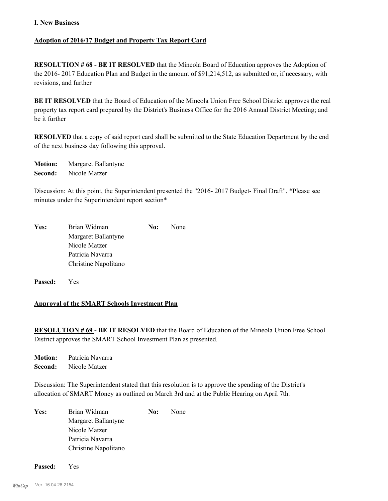### **I. New Business**

# **Adoption of 2016/17 Budget and Property Tax Report Card**

**RESOLUTION # 68 - BE IT RESOLVED** that the Mineola Board of Education approves the Adoption of the 2016- 2017 Education Plan and Budget in the amount of \$91,214,512, as submitted or, if necessary, with revisions, and further

**BE IT RESOLVED** that the Board of Education of the Mineola Union Free School District approves the real property tax report card prepared by the District's Business Office for the 2016 Annual District Meeting; and be it further

**RESOLVED** that a copy of said report card shall be submitted to the State Education Department by the end of the next business day following this approval.

**Motion:** Margaret Ballantyne **Second:** Nicole Matzer

Discussion: At this point, the Superintendent presented the "2016- 2017 Budget- Final Draft". \*Please see minutes under the Superintendent report section\*

| Yes: | Brian Widman         | No: | None |
|------|----------------------|-----|------|
|      | Margaret Ballantyne  |     |      |
|      | Nicole Matzer        |     |      |
|      | Patricia Navarra     |     |      |
|      | Christine Napolitano |     |      |

**Passed:** Yes

# **Approval of the SMART Schools Investment Plan**

**RESOLUTION # 69 - BE IT RESOLVED** that the Board of Education of the Mineola Union Free School District approves the SMART School Investment Plan as presented.

**Motion:** Patricia Navarra **Second:** Nicole Matzer

Discussion: The Superintendent stated that this resolution is to approve the spending of the District's allocation of SMART Money as outlined on March 3rd and at the Public Hearing on April 7th.

Yes: Brian Widman **No:** None Margaret Ballantyne Nicole Matzer Patricia Navarra Christine Napolitano

**Passed:** Yes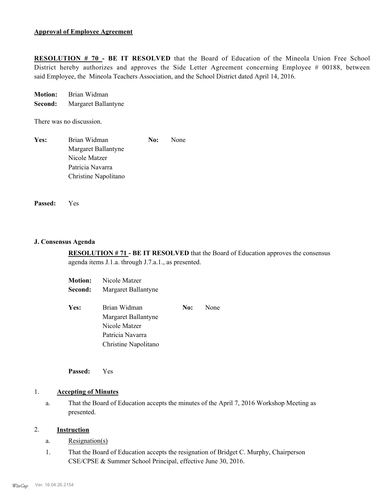**RESOLUTION # 70 - BE IT RESOLVED** that the Board of Education of the Mineola Union Free School District hereby authorizes and approves the Side Letter Agreement concerning Employee # 00188, between said Employee, the Mineola Teachers Association, and the School District dated April 14, 2016.

**Motion:** Brian Widman **Second:** Margaret Ballantyne

There was no discussion.

| Yes: | Brian Widman         | No: | None |
|------|----------------------|-----|------|
|      | Margaret Ballantyne  |     |      |
|      | Nicole Matzer        |     |      |
|      | Patricia Navarra     |     |      |
|      | Christine Napolitano |     |      |

**Passed:** Yes

### **J. Consensus Agenda**

**RESOLUTION # 71 - BE IT RESOLVED** that the Board of Education approves the consensus agenda items J.1.a. through J.7.a.1., as presented.

| <b>Motion:</b> | Nicole Matzer        |     |      |
|----------------|----------------------|-----|------|
| Second:        | Margaret Ballantyne  |     |      |
| Yes:           | Brian Widman         | No: | None |
|                | Margaret Ballantyne  |     |      |
|                | Nicole Matzer        |     |      |
|                | Patricia Navarra     |     |      |
|                | Christine Napolitano |     |      |

**Passed:** Yes

### 1. **Accepting of Minutes**

That the Board of Education accepts the minutes of the April 7, 2016 Workshop Meeting as presented. a.

### 2. **Instruction**

- a. Resignation(s)
- That the Board of Education accepts the resignation of Bridget C. Murphy, Chairperson CSE/CPSE & Summer School Principal, effective June 30, 2016. 1.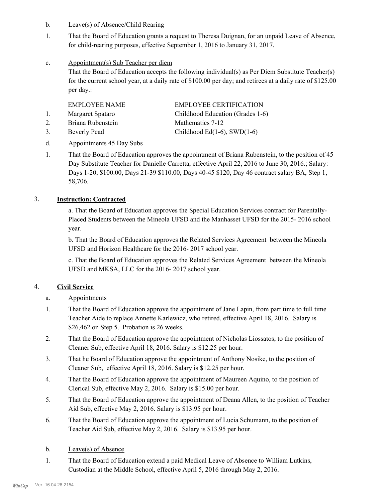- b. Leave(s) of Absence/Child Rearing
- That the Board of Education grants a request to Theresa Duignan, for an unpaid Leave of Absence, for child-rearing purposes, effective September 1, 2016 to January 31, 2017. 1.
- Appointment(s) Sub Teacher per diem c.

That the Board of Education accepts the following individual(s) as Per Diem Substitute Teacher(s) for the current school year, at a daily rate of \$100.00 per day; and retirees at a daily rate of \$125.00 per day.:

| <b>EMPLOYEE NAME</b> | <b>EMPLOYEE CERTIFICATION</b>    |
|----------------------|----------------------------------|
| Margaret Spataro     | Childhood Education (Grades 1-6) |
| Briana Rubenstein    | Mathematics 7-12                 |
| Beverly Pead         | Childhood Ed(1-6), SWD(1-6)      |

# d. Appointments 45 Day Subs

That the Board of Education approves the appointment of Briana Rubenstein, to the position of 45 Day Substitute Teacher for Danielle Carretta, effective April 22, 2016 to June 30, 2016.; Salary: Days 1-20, \$100.00, Days 21-39 \$110.00, Days 40-45 \$120, Day 46 contract salary BA, Step 1, 58,706. 1.

# 3. **Instruction: Contracted**

a. That the Board of Education approves the Special Education Services contract for Parentally-Placed Students between the Mineola UFSD and the Manhasset UFSD for the 2015- 2016 school year.

b. That the Board of Education approves the Related Services Agreement between the Mineola UFSD and Horizon Healthcare for the 2016- 2017 school year.

c. That the Board of Education approves the Related Services Agreement between the Mineola UFSD and MKSA, LLC for the 2016- 2017 school year.

# 4. **Civil Service**

- a. Appointments
- That the Board of Education approve the appointment of Jane Lapin, from part time to full time Teacher Aide to replace Annette Karlewicz, who retired, effective April 18, 2016. Salary is \$26,462 on Step 5. Probation is 26 weeks. 1.
- That the Board of Education approve the appointment of Nicholas Liossatos, to the position of Cleaner Sub, effective April 18, 2016. Salary is \$12.25 per hour. 2.
- That he Board of Education approve the appointment of Anthony Nosike, to the position of Cleaner Sub, effective April 18, 2016. Salary is \$12.25 per hour. 3.
- That the Board of Education approve the appointment of Maureen Aquino, to the position of Clerical Sub, effective May 2, 2016. Salary is \$15.00 per hour. 4.
- That the Board of Education approve the appointment of Deana Allen, to the position of Teacher Aid Sub, effective May 2, 2016. Salary is \$13.95 per hour. 5.
- That the Board of Education approve the appointment of Lucia Schumann, to the position of Teacher Aid Sub, effective May 2, 2016. Salary is \$13.95 per hour. 6.
- b. Leave(s) of Absence
- That the Board of Education extend a paid Medical Leave of Absence to William Lutkins, Custodian at the Middle School, effective April 5, 2016 through May 2, 2016. 1.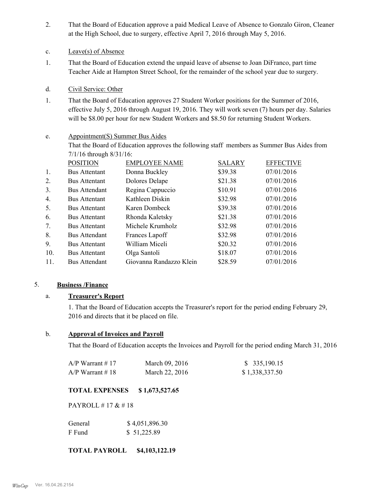- That the Board of Education approve a paid Medical Leave of Absence to Gonzalo Giron, Cleaner at the High School, due to surgery, effective April 7, 2016 through May 5, 2016. 2.
- c. Leave(s) of Absence
- That the Board of Education extend the unpaid leave of absense to Joan DiFranco, part time Teacher Aide at Hampton Street School, for the remainder of the school year due to surgery. 1.
- d. Civil Service: Other
- That the Board of Education approves 27 Student Worker positions for the Summer of 2016, effective July 5, 2016 through August 19, 2016. They will work seven (7) hours per day. Salaries will be \$8.00 per hour for new Student Workers and \$8.50 for returning Student Workers. 1.

### Appointment(S) Summer Bus Aides e.

That the Board of Education approves the following staff members as Summer Bus Aides from 7/1/16 through 8/31/16:

|                | <b>POSITION</b>      | <b>EMPLOYEE NAME</b>    | <b>SALARY</b> | <b>EFFECTIVE</b> |
|----------------|----------------------|-------------------------|---------------|------------------|
| 1.             | <b>Bus Attentant</b> | Donna Buckley           | \$39.38       | 07/01/2016       |
| 2.             | <b>Bus Attentant</b> | Dolores Delape          | \$21.38       | 07/01/2016       |
| 3.             | <b>Bus Attendant</b> | Regina Cappuccio        | \$10.91       | 07/01/2016       |
| 4.             | <b>Bus Attentant</b> | Kathleen Diskin         | \$32.98       | 07/01/2016       |
| 5.             | <b>Bus Attentant</b> | Karen Dombeck           | \$39.38       | 07/01/2016       |
| 6.             | <b>Bus Attentant</b> | Rhonda Kaletsky         | \$21.38       | 07/01/2016       |
| 7 <sub>1</sub> | <b>Bus Attentant</b> | Michele Krumholz        | \$32.98       | 07/01/2016       |
| 8.             | <b>Bus Attendant</b> | Frances Lapoff          | \$32.98       | 07/01/2016       |
| 9.             | <b>Bus Attentant</b> | William Miceli          | \$20.32       | 07/01/2016       |
| 10.            | <b>Bus Attentant</b> | Olga Santoli            | \$18.07       | 07/01/2016       |
| 11.            | <b>Bus Attendant</b> | Giovanna Randazzo Klein | \$28.59       | 07/01/2016       |

# 5. **Business /Finance**

# a. **Treasurer's Report**

1. That the Board of Education accepts the Treasurer's report for the period ending February 29, 2016 and directs that it be placed on file.

# b. **Approval of Invoices and Payroll**

That the Board of Education accepts the Invoices and Payroll for the period ending March 31, 2016

| A/P Warrant # 17 | March 09, 2016 | \$ 335,190.15  |
|------------------|----------------|----------------|
| A/P Warrant # 18 | March 22, 2016 | \$1,338,337.50 |

# **TOTAL EXPENSES \$ 1,673,527.65**

PAYROLL # 17 & # 18

| General | \$4,051,896.30 |
|---------|----------------|
| F Fund  | \$51,225.89    |

# **TOTAL PAYROLL \$4,103,122.19**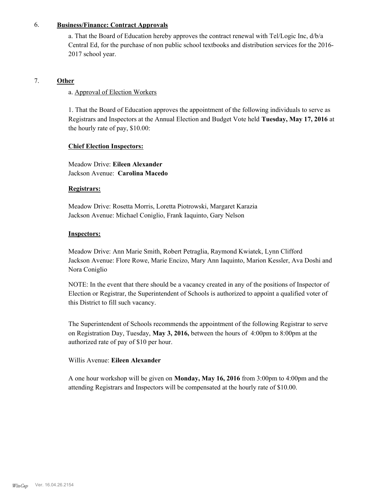### 6. **Business/Finance: Contract Approvals**

a. That the Board of Education hereby approves the contract renewal with Tel/Logic Inc, d/b/a Central Ed, for the purchase of non public school textbooks and distribution services for the 2016- 2017 school year.

# 7. **Other**

### a. Approval of Election Workers

1. That the Board of Education approves the appointment of the following individuals to serve as Registrars and Inspectors at the Annual Election and Budget Vote held **Tuesday, May 17, 2016** at the hourly rate of pay, \$10.00:

### **Chief Election Inspectors:**

Meadow Drive: **Eileen Alexander**  Jackson Avenue: **Carolina Macedo**

### **Registrars:**

Meadow Drive: Rosetta Morris, Loretta Piotrowski, Margaret Karazia Jackson Avenue: Michael Coniglio, Frank Iaquinto, Gary Nelson

### **Inspectors:**

Meadow Drive: Ann Marie Smith, Robert Petraglia, Raymond Kwiatek, Lynn Clifford Jackson Avenue: Flore Rowe, Marie Encizo, Mary Ann Iaquinto, Marion Kessler, Ava Doshi and Nora Coniglio

NOTE: In the event that there should be a vacancy created in any of the positions of Inspector of Election or Registrar, the Superintendent of Schools is authorized to appoint a qualified voter of this District to fill such vacancy.

The Superintendent of Schools recommends the appointment of the following Registrar to serve on Registration Day, Tuesday, **May 3, 2016,** between the hours of 4:00pm to 8:00pm at the authorized rate of pay of \$10 per hour.

# Willis Avenue: **Eileen Alexander**

A one hour workshop will be given on **Monday, May 16, 2016** from 3:00pm to 4:00pm and the attending Registrars and Inspectors will be compensated at the hourly rate of \$10.00.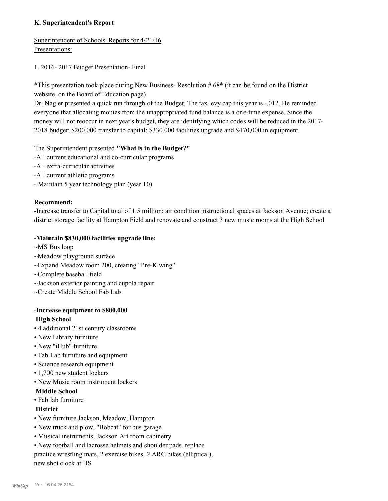# **K. Superintendent's Report**

Superintendent of Schools' Reports for 4/21/16 Presentations:

1. 2016- 2017 Budget Presentation- Final

\*This presentation took place during New Business- Resolution # 68\* (it can be found on the District website, on the Board of Education page)

Dr. Nagler presented a quick run through of the Budget. The tax levy cap this year is -.012. He reminded everyone that allocating monies from the unappropriated fund balance is a one-time expense. Since the money will not reoccur in next year's budget, they are identifying which codes will be reduced in the 2017- 2018 budget: \$200,000 transfer to capital; \$330,000 facilities upgrade and \$470,000 in equipment.

The Superintendent presented **"What is in the Budget?"**

- -All current educational and co-curricular programs
- -All extra-curricular activities
- -All current athletic programs
- Maintain 5 year technology plan (year 10)

# **Recommend:**

-Increase transfer to Capital total of 1.5 million: air condition instructional spaces at Jackson Avenue; create a district storage facility at Hampton Field and renovate and construct 3 new music rooms at the High School

# **-Maintain \$830,000 facilities upgrade line:**

- ~MS Bus loop
- ~Meadow playground surface
- ~Expand Meadow room 200, creating "Pre-K wing"
- ~Complete baseball field
- ~Jackson exterior painting and cupola repair
- ~Create Middle School Fab Lab

# -**Increase equipment to \$800,000 High School**

- 4 additional 21st century classrooms
- New Library furniture
- New "iHub" furniture
- Fab Lab furniture and equipment
- Science research equipment
- 1,700 new student lockers
- New Music room instrument lockers

# **Middle School**

• Fab lab furniture

# **District**

- New furniture Jackson, Meadow, Hampton
- New truck and plow, "Bobcat" for bus garage
- Musical instruments, Jackson Art room cabinetry
- New football and lacrosse helmets and shoulder pads, replace practice wrestling mats, 2 exercise bikes, 2 ARC bikes (elliptical), new shot clock at HS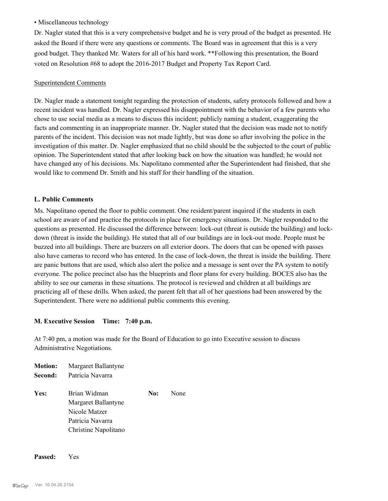# • Miscellaneous technology

Dr. Nagler stated that this is a very comprehensive budget and he is very proud of the budget as presented. He asked the Board if there were any questions or comments. The Board was in agreement that this is a very good budget. They thanked Mr. Waters for all of his hard work. \*\*Following this presentation, the Board voted on Resolution #68 to adopt the 2016-2017 Budget and Property Tax Report Card.

### Superintendent Comments

Dr. Nagler made a statement tonight regarding the protection of students, safety protocols followed and how a recent incident was handled. Dr. Nagler expressed his disappointment with the behavior of a few parents who chose to use social media as a means to discuss this incident; publicly naming a student, exaggerating the facts and commenting in an inappropriate manner. Dr. Nagler stated that the decision was made not to notify parents of the incident. This decision was not made lightly, but was done so after involving the police in the investigation of this matter. Dr. Nagler emphasized that no child should be the subjected to the court of public opinion. The Superintendent stated that after looking back on how the situation was handled; he would not have changed any of his decisions. Ms. Napolitano commented after the Superintendent had finished, that she would like to commend Dr. Smith and his staff for their handling of the situation.

# **L. Public Comments**

Ms. Napolitano opened the floor to public comment. One resident/parent inquired if the students in each school are aware of and practice the protocols in place for emergency situations. Dr. Nagler responded to the questions as presented. He discussed the difference between: lock-out (threat is outside the building) and lockdown (threat is inside the building). He stated that all of our buildings are in lock-out mode. People must be buzzed into all buildings. There are buzzers on all exterior doors. The doors that can be opened with passes also have cameras to record who has entered. In the case of lock-down, the threat is inside the building. There are panic buttons that are used, which also alert the police and a message is sent over the PA system to notify everyone. The police precinct also has the blueprints and floor plans for every building. BOCES also has the ability to see our cameras in these situations. The protocol is reviewed and children at all buildings are practicing all of these drills. When asked, the parent felt that all of her questions had been answered by the Superintendent. There were no additional public comments this evening.

# **M. Executive Session Time: 7:40 p.m.**

At 7:40 pm, a motion was made for the Board of Education to go into Executive session to discuss Administrative Negotiations.

| <b>Motion:</b><br>Second: | Margaret Ballantyne<br>Patricia Navarra |     |      |
|---------------------------|-----------------------------------------|-----|------|
| Yes:                      | Brian Widman                            | No: | None |
|                           | Margaret Ballantyne                     |     |      |
|                           | Nicole Matzer                           |     |      |
|                           | Patricia Navarra                        |     |      |
|                           | Christine Napolitano                    |     |      |